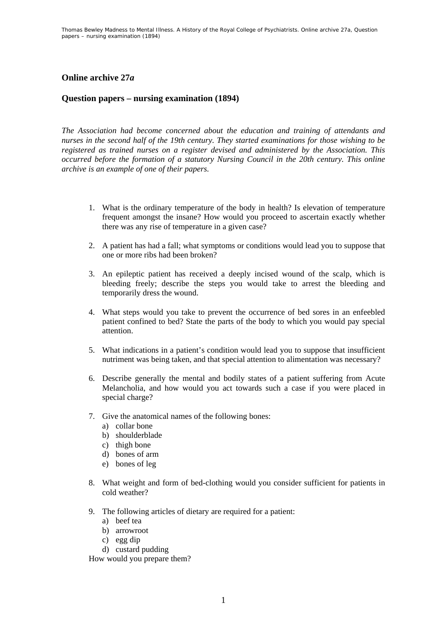## **Online archive 27***a*

## **Question papers – nursing examination (1894)**

*The Association had become concerned about the education and training of attendants and nurses in the second half of the 19th century. They started examinations for those wishing to be registered as trained nurses on a register devised and administered by the Association. This occurred before the formation of a statutory Nursing Council in the 20th century. This online archive is an example of one of their papers.* 

- 1. What is the ordinary temperature of the body in health? Is elevation of temperature frequent amongst the insane? How would you proceed to ascertain exactly whether there was any rise of temperature in a given case?
- 2. A patient has had a fall; what symptoms or conditions would lead you to suppose that one or more ribs had been broken?
- 3. An epileptic patient has received a deeply incised wound of the scalp, which is bleeding freely; describe the steps you would take to arrest the bleeding and temporarily dress the wound.
- 4. What steps would you take to prevent the occurrence of bed sores in an enfeebled patient confined to bed? State the parts of the body to which you would pay special attention.
- 5. What indications in a patient's condition would lead you to suppose that insufficient nutriment was being taken, and that special attention to alimentation was necessary?
- 6. Describe generally the mental and bodily states of a patient suffering from Acute Melancholia, and how would you act towards such a case if you were placed in special charge?
- 7. Give the anatomical names of the following bones:
	- a) collar bone
	- b) shoulderblade
	- c) thigh bone
	- d) bones of arm
	- e) bones of leg
- 8. What weight and form of bed-clothing would you consider sufficient for patients in cold weather?
- 9. The following articles of dietary are required for a patient:
	- a) beef tea
	- b) arrowroot
	- c) egg dip
	- d) custard pudding

How would you prepare them?